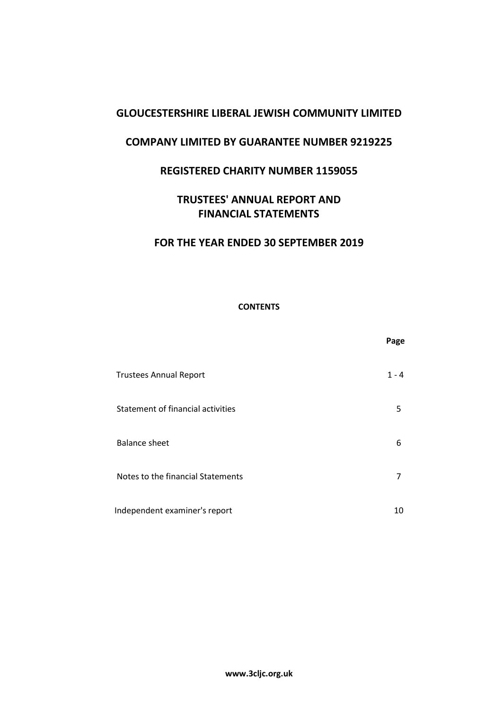# **COMPANY LIMITED BY GUARANTEE NUMBER 9219225**

# **REGISTERED CHARITY NUMBER 1159055**

# **TRUSTEES' ANNUAL REPORT AND FINANCIAL STATEMENTS**

# **FOR THE YEAR ENDED 30 SEPTEMBER 2019**

### **CONTENTS**

|                                   | Page    |
|-----------------------------------|---------|
| <b>Trustees Annual Report</b>     | $1 - 4$ |
| Statement of financial activities | 5       |
| <b>Balance sheet</b>              | 6       |
| Notes to the financial Statements | 7       |
| Independent examiner's report     | 10      |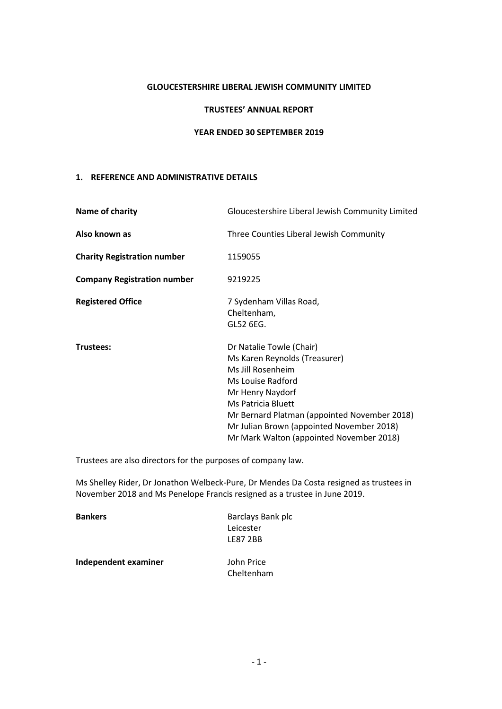#### **TRUSTEES' ANNUAL REPORT**

#### **YEAR ENDED 30 SEPTEMBER 2019**

#### **1. REFERENCE AND ADMINISTRATIVE DETAILS**

| Name of charity                    | Gloucestershire Liberal Jewish Community Limited                                                                                                                                                                                                                                       |
|------------------------------------|----------------------------------------------------------------------------------------------------------------------------------------------------------------------------------------------------------------------------------------------------------------------------------------|
| Also known as                      | Three Counties Liberal Jewish Community                                                                                                                                                                                                                                                |
| <b>Charity Registration number</b> | 1159055                                                                                                                                                                                                                                                                                |
| <b>Company Registration number</b> | 9219225                                                                                                                                                                                                                                                                                |
| <b>Registered Office</b>           | 7 Sydenham Villas Road,<br>Cheltenham,<br>GL52 6EG.                                                                                                                                                                                                                                    |
| Trustees:                          | Dr Natalie Towle (Chair)<br>Ms Karen Reynolds (Treasurer)<br>Ms Jill Rosenheim<br>Ms Louise Radford<br>Mr Henry Naydorf<br>Ms Patricia Bluett<br>Mr Bernard Platman (appointed November 2018)<br>Mr Julian Brown (appointed November 2018)<br>Mr Mark Walton (appointed November 2018) |

Trustees are also directors for the purposes of company law.

Ms Shelley Rider, Dr Jonathon Welbeck-Pure, Dr Mendes Da Costa resigned as trustees in November 2018 and Ms Penelope Francis resigned as a trustee in June 2019.

| <b>Bankers</b>       | Barclays Bank plc |
|----------------------|-------------------|
|                      | Leicester         |
|                      | <b>LE87 2BB</b>   |
| Independent examiner | John Price        |
|                      | Cheltenham        |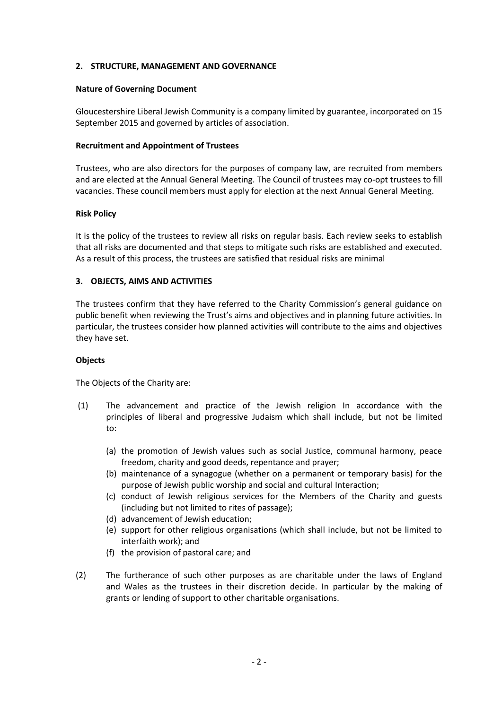#### **2. STRUCTURE, MANAGEMENT AND GOVERNANCE**

#### **Nature of Governing Document**

Gloucestershire Liberal Jewish Community is a company limited by guarantee, incorporated on 15 September 2015 and governed by articles of association.

#### **Recruitment and Appointment of Trustees**

Trustees, who are also directors for the purposes of company law, are recruited from members and are elected at the Annual General Meeting. The Council of trustees may co-opt trustees to fill vacancies. These council members must apply for election at the next Annual General Meeting.

### **Risk Policy**

It is the policy of the trustees to review all risks on regular basis. Each review seeks to establish that all risks are documented and that steps to mitigate such risks are established and executed. As a result of this process, the trustees are satisfied that residual risks are minimal

### **3. OBJECTS, AIMS AND ACTIVITIES**

The trustees confirm that they have referred to the Charity Commission's general guidance on public benefit when reviewing the Trust's aims and objectives and in planning future activities. In particular, the trustees consider how planned activities will contribute to the aims and objectives they have set.

#### **Objects**

The Objects of the Charity are:

- (1) The advancement and practice of the Jewish religion In accordance with the principles of liberal and progressive Judaism which shall include, but not be limited to:
	- (a) the promotion of Jewish values such as social Justice, communal harmony, peace freedom, charity and good deeds, repentance and prayer;
	- (b) maintenance of a synagogue (whether on a permanent or temporary basis) for the purpose of Jewish public worship and social and cultural Interaction;
	- (c) conduct of Jewish religious services for the Members of the Charity and guests (including but not limited to rites of passage);
	- (d) advancement of Jewish education;
	- (e) support for other religious organisations (which shall include, but not be limited to interfaith work); and
	- (f) the provision of pastoral care; and
- (2) The furtherance of such other purposes as are charitable under the laws of England and Wales as the trustees in their discretion decide. In particular by the making of grants or lending of support to other charitable organisations.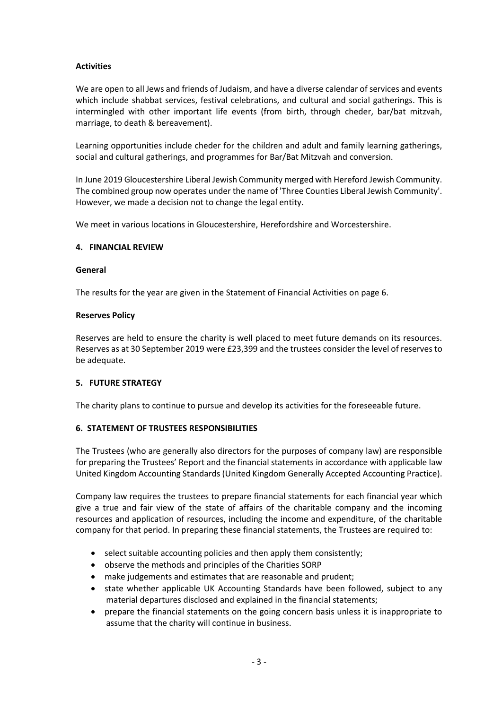### **Activities**

We are open to all Jews and friends of Judaism, and have a diverse calendar of services and events which include shabbat services, festival celebrations, and cultural and social gatherings. This is intermingled with other important life events (from birth, through cheder, bar/bat mitzvah, marriage, to death & bereavement).

Learning opportunities include cheder for the children and adult and family learning gatherings, social and cultural gatherings, and programmes for Bar/Bat Mitzvah and conversion.

In June 2019 Gloucestershire Liberal Jewish Community merged with Hereford Jewish Community. The combined group now operates under the name of 'Three Counties Liberal Jewish Community'. However, we made a decision not to change the legal entity.

We meet in various locations in Gloucestershire, Herefordshire and Worcestershire.

#### **4. FINANCIAL REVIEW**

#### **General**

The results for the year are given in the Statement of Financial Activities on page 6.

#### **Reserves Policy**

Reserves are held to ensure the charity is well placed to meet future demands on its resources. Reserves as at 30 September 2019 were £23,399 and the trustees consider the level of reserves to be adequate.

#### **5. FUTURE STRATEGY**

The charity plans to continue to pursue and develop its activities for the foreseeable future.

#### **6. STATEMENT OF TRUSTEES RESPONSIBILITIES**

The Trustees (who are generally also directors for the purposes of company law) are responsible for preparing the Trustees' Report and the financial statements in accordance with applicable law United Kingdom Accounting Standards (United Kingdom Generally Accepted Accounting Practice).

Company law requires the trustees to prepare financial statements for each financial year which give a true and fair view of the state of affairs of the charitable company and the incoming resources and application of resources, including the income and expenditure, of the charitable company for that period. In preparing these financial statements, the Trustees are required to:

- select suitable accounting policies and then apply them consistently;
- observe the methods and principles of the Charities SORP
- make judgements and estimates that are reasonable and prudent;
- state whether applicable UK Accounting Standards have been followed, subject to any material departures disclosed and explained in the financial statements;
- prepare the financial statements on the going concern basis unless it is inappropriate to assume that the charity will continue in business.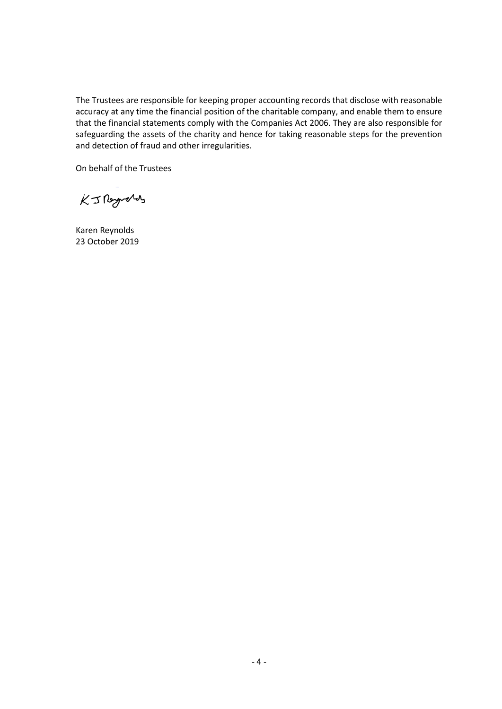The Trustees are responsible for keeping proper accounting records that disclose with reasonable accuracy at any time the financial position of the charitable company, and enable them to ensure that the financial statements comply with the Companies Act 2006. They are also responsible for safeguarding the assets of the charity and hence for taking reasonable steps for the prevention and detection of fraud and other irregularities.

On behalf of the Trustees

KJROgrans

Karen Reynolds 23 October 2019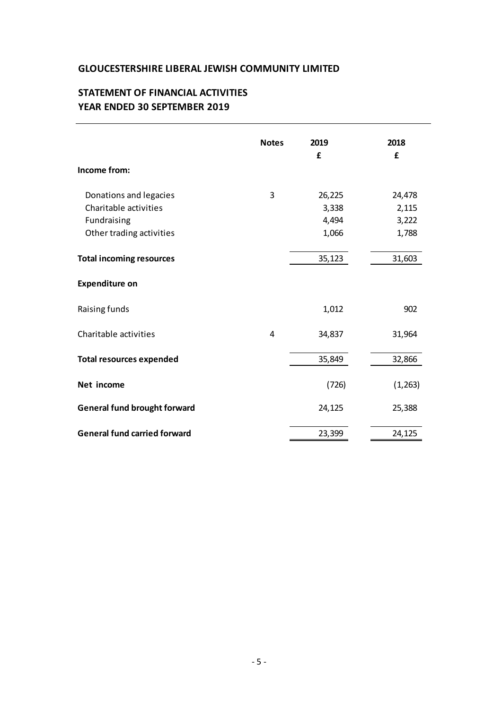# **STATEMENT OF FINANCIAL ACTIVITIES YEAR ENDED 30 SEPTEMBER 2019**

|                                     | <b>Notes</b> | 2019<br>£ | 2018<br>£ |
|-------------------------------------|--------------|-----------|-----------|
| Income from:                        |              |           |           |
| Donations and legacies              | 3            | 26,225    | 24,478    |
| Charitable activities               |              | 3,338     | 2,115     |
| Fundraising                         |              | 4,494     | 3,222     |
| Other trading activities            |              | 1,066     | 1,788     |
| <b>Total incoming resources</b>     |              | 35,123    | 31,603    |
| <b>Expenditure on</b>               |              |           |           |
| Raising funds                       |              | 1,012     | 902       |
| Charitable activities               | 4            | 34,837    | 31,964    |
| <b>Total resources expended</b>     |              | 35,849    | 32,866    |
| Net income                          |              | (726)     | (1, 263)  |
| <b>General fund brought forward</b> |              | 24,125    | 25,388    |
| <b>General fund carried forward</b> |              | 23,399    | 24,125    |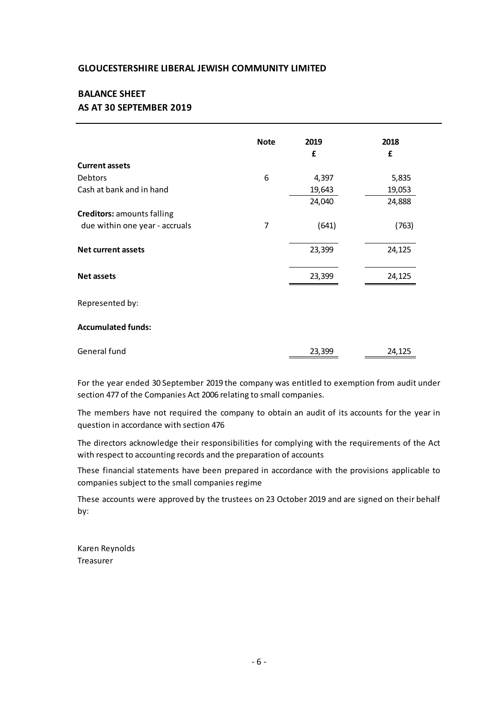## **AS AT 30 SEPTEMBER 2019 BALANCE SHEET**

|                                   | <b>Note</b> | 2019   | 2018   |
|-----------------------------------|-------------|--------|--------|
|                                   |             | £      | £      |
| <b>Current assets</b>             |             |        |        |
| Debtors                           | 6           | 4,397  | 5,835  |
| Cash at bank and in hand          |             | 19,643 | 19,053 |
|                                   |             | 24,040 | 24,888 |
| <b>Creditors: amounts falling</b> |             |        |        |
| due within one year - accruals    | 7           | (641)  | (763)  |
| <b>Net current assets</b>         |             | 23,399 | 24,125 |
| <b>Net assets</b>                 |             | 23,399 | 24,125 |
| Represented by:                   |             |        |        |
| <b>Accumulated funds:</b>         |             |        |        |
| General fund                      |             | 23,399 | 24,125 |

For the year ended 30 September 2019 the company was entitled to exemption from audit under<br>section 477 of the Companies Act 2006 relating to small companies.<br>The members have not required the company to obtain an audit of section 477 of the Companies Act 2006 relating to small companies.

question in accordance with section 476

The directors acknowledge their responsibilities for complying with the requirements of the Act with respect to accounting records and the preparation of accounts

These financial statements have been prepared in accordance with the provisions applicable to companies subject to the small companies regime

These accounts were approved by the trustees on 23 October 2019 and are signed on their behalf by:

Karen Reynolds Treasurer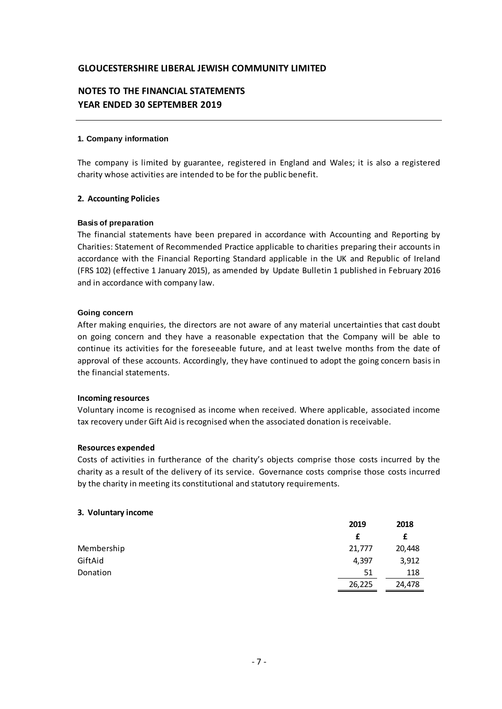# **NOTES TO THE FINANCIAL STATEMENTS YEAR ENDED 30 SEPTEMBER 2019**

#### **1. Company information**

The company is limited by guarantee, registered in England and Wales; it is also a registered charity whose activities are intended to be for the public benefit.

#### **2. Accounting Policies**

#### **Basis of preparation**

**2. Accounting Policies**<br>Basis of preparation<br>The financial statements have been prepared in accordance with Accounting and Reporting by<br>Charities: Statement of Recommended Practice applicable to charities preparing their **Basis of preparation**<br>The financial statements have been prepared in accordance with Accounting and Reporting by<br>Charities: Statement of Recommended Practice applicable to charities preparing their accounts in<br>accordance Basis of preparation<br>The financial statements have been prepared in accordance with Accounting and Reporting by<br>Charities: Statement of Recommended Practice applicable to charities preparing their accounts in<br>accordance wi Charities: Statement of Recommended Practice applicable to charities preparing their accounts in accordance with the Financial Reporting Standard applicable in the UK and Republic of Ireland (FRS 102) (effective 1 January and in accordance with company law.

#### **Going concern**

After making enquiries, the directors are not aware of any material uncertainties that cast doubt on going concern and they have a reasonable expectation that the Company will be able to continue its activities for the foreseeable future, and at least twelve months from the date of After making enquiries, the directors are not aware of any material uncertainties that cast doubt<br>on going concern and they have a reasonable expectation that the Company will be able to<br>continue its activities for the for the financial statements.

#### **Incoming resources**

Voluntary income is recognised as income when received. Where applicable, associated income tax recovery under Gift Aid is recognised when the associated donation is receivable.

#### **Resources expended**

Costs of activities in furtherance of the charity's objects comprise those costs incurred by the charity as a result of the delivery of its service. Governance costs comprise those costs incurred by the charity in meeting its constitutional and statutory requirements.

#### **3. Voluntary income**

|            | 2019   | 2018   |
|------------|--------|--------|
|            |        |        |
| Membership | 21,777 | 20,448 |
| GiftAid    | 4,397  | 3,912  |
| Donation   | 51     | 118    |
|            | 26,225 | 24,478 |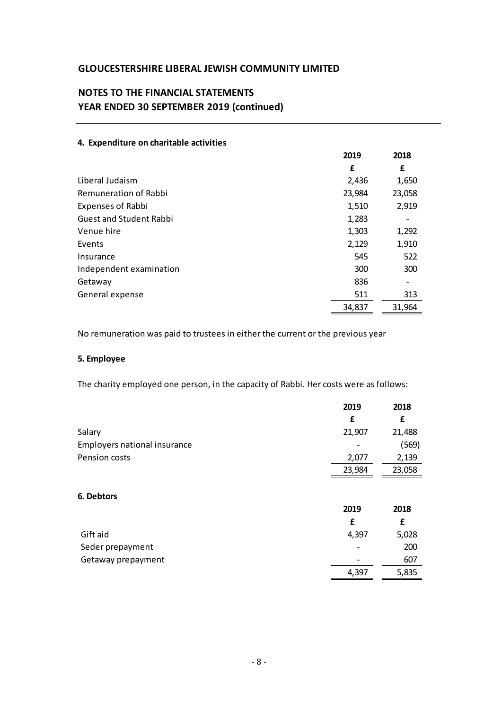# **NOTES TO THE FINANCIAL STATEMENTS YEAR ENDED 30 SEPTEMBER 2019 (continued)**

|                                | 2019   | 2018   |
|--------------------------------|--------|--------|
|                                | £      | £      |
| Liberal Judaism                | 2,436  | 1,650  |
| <b>Remuneration of Rabbi</b>   | 23,984 | 23,058 |
| <b>Expenses of Rabbi</b>       | 1,510  | 2,919  |
| <b>Guest and Student Rabbi</b> | 1,283  |        |
| Venue hire                     | 1,303  | 1,292  |
| Events                         | 2,129  | 1,910  |
| Insurance                      | 545    | 522    |
| Independent examination        | 300    | 300    |
| Getaway                        | 836    |        |
| General expense                | 511    | 313    |
|                                | 34,837 | 31,964 |

### **4. Expenditure on charitable activities**

No remuneration was paid to trustees in either the current or the previous year

### **5. Employee**

The charity employed one person, in the capacity of Rabbi. Her costs were as follows:

|                              | 2019   | 2018   |
|------------------------------|--------|--------|
|                              | £      | £      |
| Salary                       | 21,907 | 21,488 |
| Employers national insurance |        | (569)  |
| Pension costs                | 2,077  | 2,139  |
|                              | 23,984 | 23,058 |
| 6. Debtors                   | 2019   | 2018   |
|                              | £      | £      |
| Gift aid                     | 4,397  | 5,028  |
| Seder prepayment             |        | 200    |
| Getaway prepayment           |        | 607    |
|                              | 4,397  | 5,835  |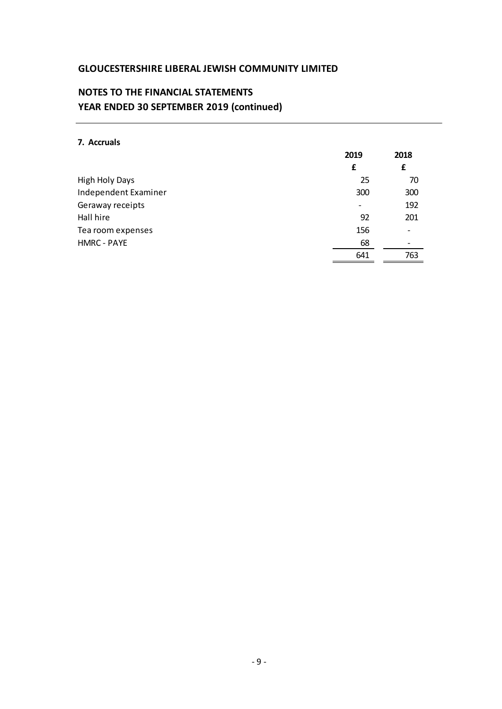# **NOTES TO THE FINANCIAL STATEMENTS YEAR ENDED 30 SEPTEMBER 2019 (continued)**

### **7. Accruals**

|                      | 2019 | 2018                     |
|----------------------|------|--------------------------|
|                      | £    | £                        |
| High Holy Days       | 25   | 70                       |
| Independent Examiner | 300  | 300                      |
| Geraway receipts     |      | 192                      |
| Hall hire            | 92   | 201                      |
| Tea room expenses    | 156  | $\overline{\phantom{0}}$ |
| <b>HMRC - PAYE</b>   | 68   | $\overline{\phantom{a}}$ |
|                      | 641  | 763                      |